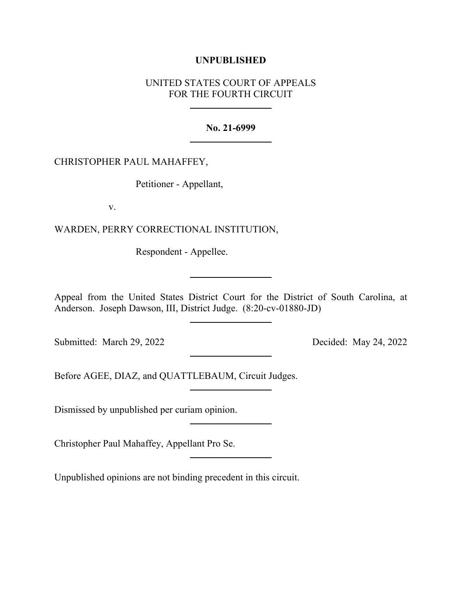## **UNPUBLISHED**

# UNITED STATES COURT OF APPEALS FOR THE FOURTH CIRCUIT

### **No. 21-6999**

### CHRISTOPHER PAUL MAHAFFEY,

Petitioner - Appellant,

v.

WARDEN, PERRY CORRECTIONAL INSTITUTION,

Respondent - Appellee.

Appeal from the United States District Court for the District of South Carolina, at Anderson. Joseph Dawson, III, District Judge. (8:20-cv-01880-JD)

Submitted: March 29, 2022 Decided: May 24, 2022

Before AGEE, DIAZ, and QUATTLEBAUM, Circuit Judges.

Dismissed by unpublished per curiam opinion.

Christopher Paul Mahaffey, Appellant Pro Se.

Unpublished opinions are not binding precedent in this circuit.